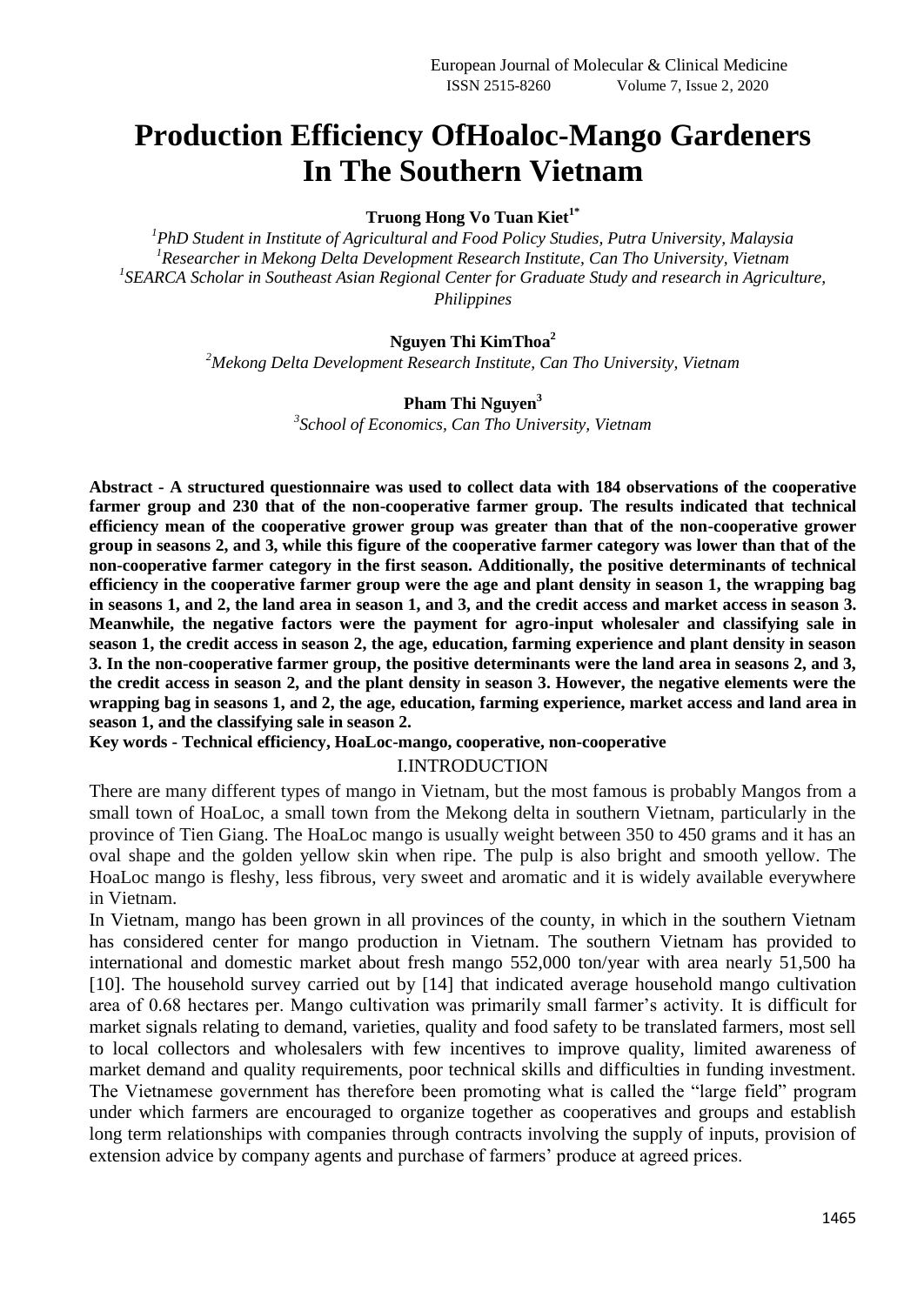# **Production Efficiency OfHoaloc-Mango Gardeners In The Southern Vietnam**

## **Truong Hong Vo Tuan Kiet1\***

*<sup>1</sup>PhD Student in Institute of Agricultural and Food Policy Studies, Putra University, Malaysia <sup>1</sup>Researcher in Mekong Delta Development Research Institute, Can Tho University, Vietnam* <sup>1</sup>SEARCA Scholar in Southeast Asian Regional Center for Graduate Study and research in Agriculture, *Philippines*

## **Nguyen Thi KimThoa<sup>2</sup>**

*<sup>2</sup>Mekong Delta Development Research Institute, Can Tho University, Vietnam*

#### **Pham Thi Nguyen<sup>3</sup>**

*3 School of Economics, Can Tho University, Vietnam*

**Abstract - A structured questionnaire was used to collect data with 184 observations of the cooperative farmer group and 230 that of the non-cooperative farmer group. The results indicated that technical efficiency mean of the cooperative grower group was greater than that of the non-cooperative grower group in seasons 2, and 3, while this figure of the cooperative farmer category was lower than that of the non-cooperative farmer category in the first season. Additionally, the positive determinants of technical efficiency in the cooperative farmer group were the age and plant density in season 1, the wrapping bag in seasons 1, and 2, the land area in season 1, and 3, and the credit access and market access in season 3. Meanwhile, the negative factors were the payment for agro-input wholesaler and classifying sale in season 1, the credit access in season 2, the age, education, farming experience and plant density in season 3. In the non-cooperative farmer group, the positive determinants were the land area in seasons 2, and 3, the credit access in season 2, and the plant density in season 3. However, the negative elements were the wrapping bag in seasons 1, and 2, the age, education, farming experience, market access and land area in season 1, and the classifying sale in season 2.** 

**Key words - Technical efficiency, HoaLoc-mango, cooperative, non-cooperative**

## I.INTRODUCTION

There are many different types of mango in Vietnam, but the most famous is probably Mangos from a small town of HoaLoc, a small town from the Mekong delta in southern Vietnam, particularly in the province of Tien Giang. The HoaLoc mango is usually weight between 350 to 450 grams and it has an oval shape and the golden yellow skin when ripe. The pulp is also bright and smooth yellow. The HoaLoc mango is fleshy, less fibrous, very sweet and aromatic and it is widely available everywhere in Vietnam.

In Vietnam, mango has been grown in all provinces of the county, in which in the southern Vietnam has considered center for mango production in Vietnam. The southern Vietnam has provided to international and domestic market about fresh mango 552,000 ton/year with area nearly 51,500 ha [10]. The household survey carried out by [14] that indicated average household mango cultivation area of 0.68 hectares per. Mango cultivation was primarily small farmer's activity. It is difficult for market signals relating to demand, varieties, quality and food safety to be translated farmers, most sell to local collectors and wholesalers with few incentives to improve quality, limited awareness of market demand and quality requirements, poor technical skills and difficulties in funding investment. The Vietnamese government has therefore been promoting what is called the "large field" program under which farmers are encouraged to organize together as cooperatives and groups and establish long term relationships with companies through contracts involving the supply of inputs, provision of extension advice by company agents and purchase of farmers' produce at agreed prices.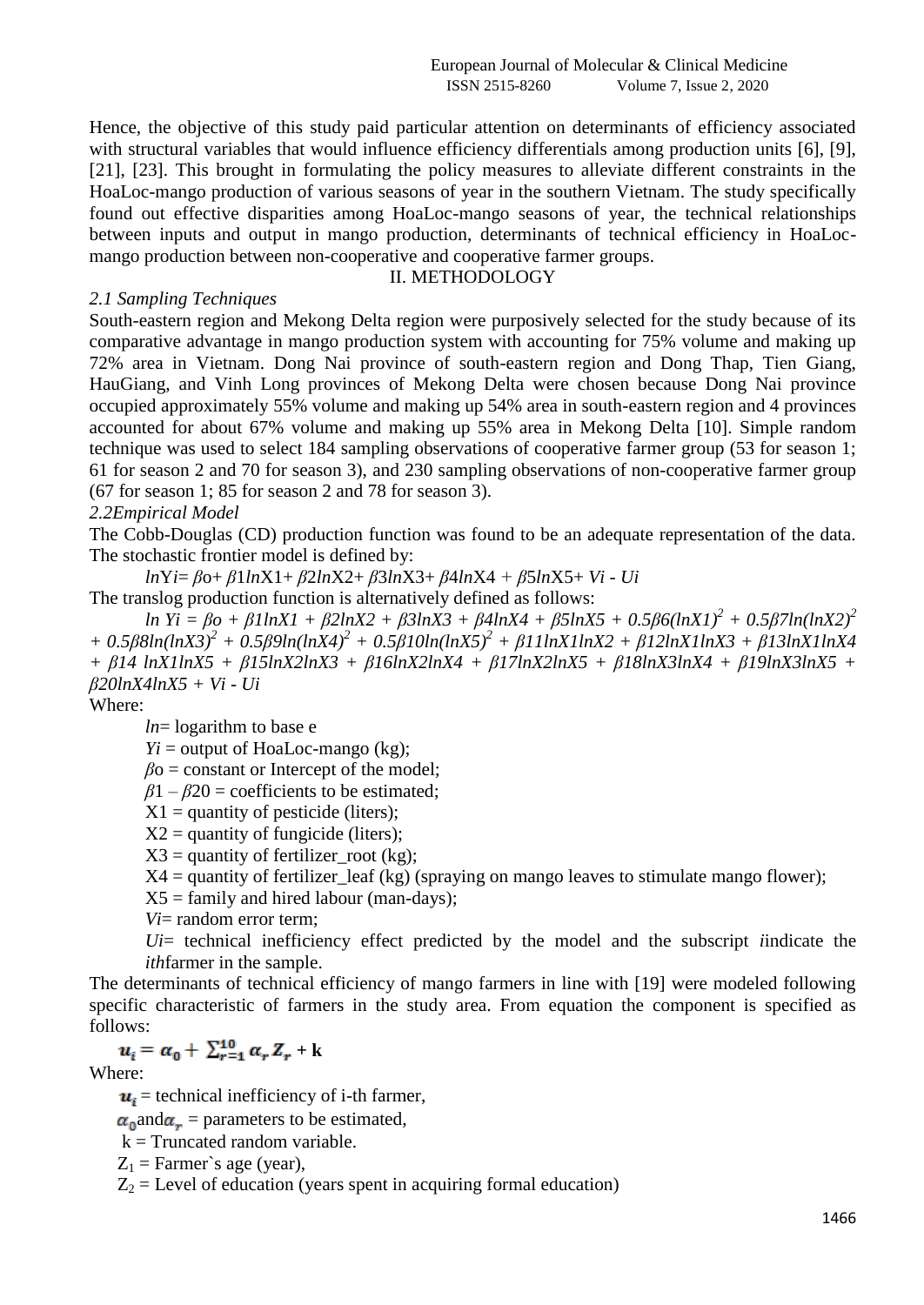Hence, the objective of this study paid particular attention on determinants of efficiency associated with structural variables that would influence efficiency differentials among production units [6], [9], [21], [23]. This brought in formulating the policy measures to alleviate different constraints in the HoaLoc-mango production of various seasons of year in the southern Vietnam. The study specifically found out effective disparities among HoaLoc-mango seasons of year, the technical relationships between inputs and output in mango production, determinants of technical efficiency in HoaLocmango production between non-cooperative and cooperative farmer groups.

# *2.1 Sampling Techniques*

# II. METHODOLOGY

South-eastern region and Mekong Delta region were purposively selected for the study because of its comparative advantage in mango production system with accounting for 75% volume and making up 72% area in Vietnam. Dong Nai province of south-eastern region and Dong Thap, Tien Giang, HauGiang, and Vinh Long provinces of Mekong Delta were chosen because Dong Nai province occupied approximately 55% volume and making up 54% area in south-eastern region and 4 provinces accounted for about 67% volume and making up 55% area in Mekong Delta [10]. Simple random technique was used to select 184 sampling observations of cooperative farmer group (53 for season 1; 61 for season 2 and 70 for season 3), and 230 sampling observations of non-cooperative farmer group (67 for season 1; 85 for season 2 and 78 for season 3).

# *2.2Empirical Model*

The Cobb-Douglas (CD) production function was found to be an adequate representation of the data. The stochastic frontier model is defined by:

*ln*Y*i*= *β*o+ *β*1*ln*X1+ *β*2*ln*X2+ *β*3*ln*X3+ *β*4*ln*X4 *+ β*5*ln*X5+ *Vi - Ui*

The translog production function is alternatively defined as follows:

*ln Yi = βo + β1lnX1 + β2lnX2 + β3lnX3 + β4lnX4 + β5lnX5 + 0.5β6(lnX1)<sup>2</sup> + 0.5β7ln(lnX2)<sup>2</sup> + 0.5β8ln(lnX3)<sup>2</sup> + 0.5β9ln(lnX4)<sup>2</sup> + 0.5β10ln(lnX5)<sup>2</sup> + β11lnX1lnX2 + β12lnX1lnX3 + β13lnX1lnX4 + β14 lnX1lnX5 + β15lnX2lnX3 + β16lnX2lnX4 + β17lnX2lnX5 + β18lnX3lnX4 + β19lnX3lnX5 + β20lnX4lnX5 + Vi - Ui*

Where:

*ln*= logarithm to base e

 $Y_i$  = output of HoaLoc-mango (kg);

 $\beta$ <sup>o</sup> = constant or Intercept of the model;

 $\beta$ 1 –  $\beta$ 20 = coefficients to be estimated;

- $X1 =$  quantity of pesticide (liters);
- $X2$  = quantity of fungicide (liters);

 $X3$  = quantity of fertilizer\_root (kg);

 $X4$  = quantity of fertilizer leaf (kg) (spraying on mango leaves to stimulate mango flower);

 $X5 =$  family and hired labour (man-days);

*Vi*= random error term;

*Ui*= technical inefficiency effect predicted by the model and the subscript *i*indicate the *ith*farmer in the sample.

The determinants of technical efficiency of mango farmers in line with [19] were modeled following specific characteristic of farmers in the study area. From equation the component is specified as follows:

$$
u_i = \alpha_0 + \sum_{r=1}^{10} \alpha_r Z_r + k
$$

Where:

 $u_i$  = technical inefficiency of i-th farmer,

 $\alpha_0$  and  $\alpha_r$  = parameters to be estimated,

 $k =$ Truncated random variable.

 $Z_1$  = Farmer's age (year),

 $Z_2$  = Level of education (years spent in acquiring formal education)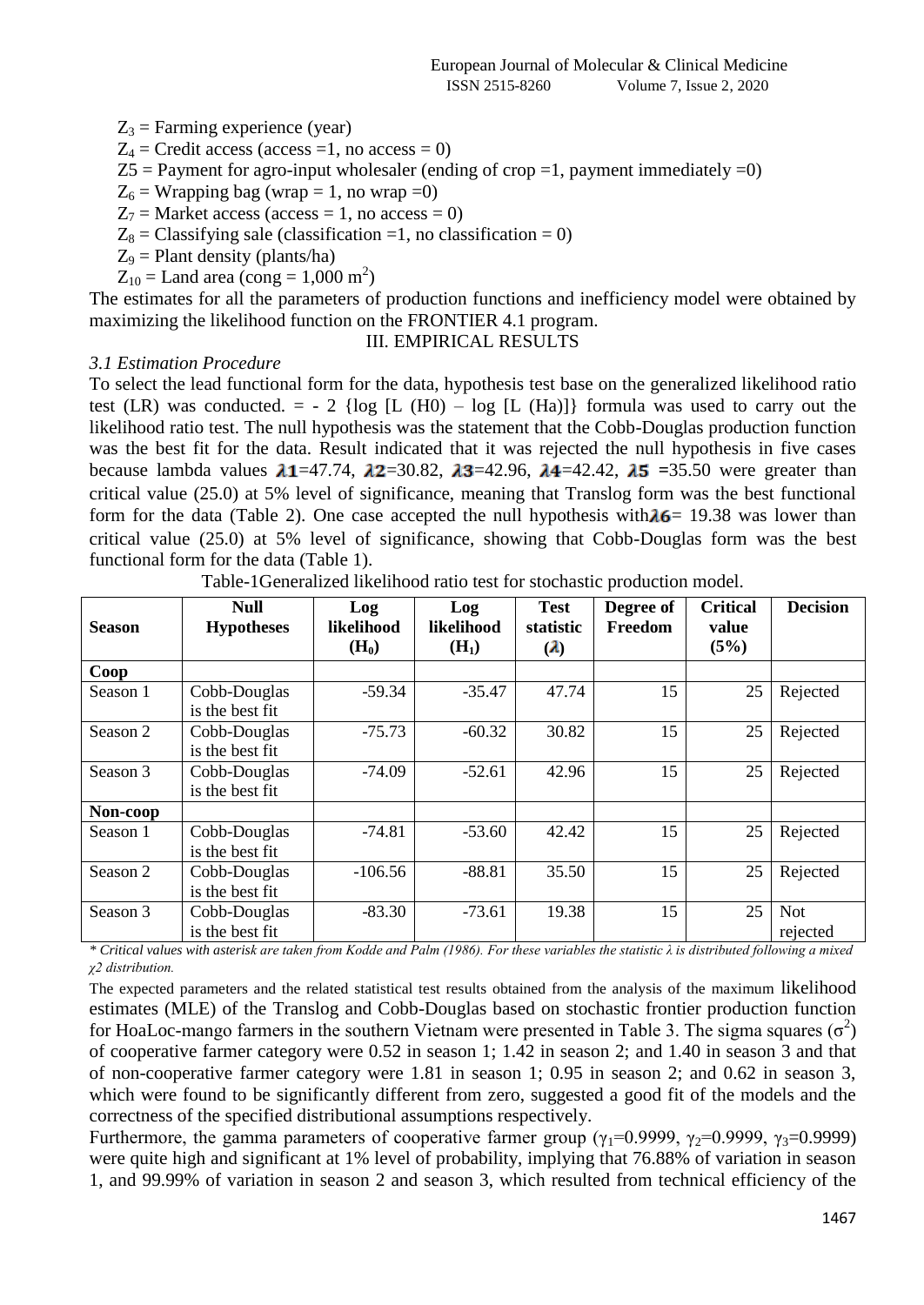$Z_3$  = Farming experience (year)

 $Z_4$  = Credit access (access =1, no access = 0)

 $Z5$  = Payment for agro-input wholesaler (ending of crop =1, payment immediately =0)

 $Z_6$  = Wrapping bag (wrap = 1, no wrap = 0)

 $Z_7$  = Market access (access = 1, no access = 0)

 $Z_8$  = Classifying sale (classification =1, no classification = 0)

 $Z_9$  = Plant density (plants/ha)

 $Z_{10}$  = Land area (cong = 1,000 m<sup>2</sup>)

The estimates for all the parameters of production functions and inefficiency model were obtained by maximizing the likelihood function on the FRONTIER 4.1 program.

#### III. EMPIRICAL RESULTS

## *3.1 Estimation Procedure*

To select the lead functional form for the data, hypothesis test base on the generalized likelihood ratio test (LR) was conducted.  $= -2$  {log [L (H0) – log [L (Ha)]} formula was used to carry out the likelihood ratio test. The null hypothesis was the statement that the Cobb-Douglas production function was the best fit for the data. Result indicated that it was rejected the null hypothesis in five cases because lambda values  $\lambda$ 1=47.74,  $\lambda$ 2=30.82,  $\lambda$ 3=42.96,  $\lambda$ 4=42.42,  $\lambda$ 5 =35.50 were greater than critical value (25.0) at 5% level of significance, meaning that Translog form was the best functional form for the data (Table 2). One case accepted the null hypothesis with  $\lambda$ 6 = 19.38 was lower than critical value (25.0) at 5% level of significance, showing that Cobb-Douglas form was the best functional form for the data (Table 1).

| <b>Season</b> | <b>Null</b><br><b>Hypotheses</b> | Log<br>likelihood | Log<br>likelihood | <b>Test</b><br>statistic | Degree of<br>Freedom | <b>Critical</b><br>value | <b>Decision</b> |
|---------------|----------------------------------|-------------------|-------------------|--------------------------|----------------------|--------------------------|-----------------|
|               |                                  | $(H_0)$           | (H <sub>1</sub> ) | $\mathbf{a}$             |                      | (5%)                     |                 |
| Coop          |                                  |                   |                   |                          |                      |                          |                 |
| Season 1      | Cobb-Douglas                     | $-59.34$          | $-35.47$          | 47.74                    | 15                   | 25                       | Rejected        |
|               | is the best fit                  |                   |                   |                          |                      |                          |                 |
| Season 2      | Cobb-Douglas                     | $-75.73$          | $-60.32$          | 30.82                    | 15                   | 25                       | Rejected        |
|               | is the best fit                  |                   |                   |                          |                      |                          |                 |
| Season 3      | Cobb-Douglas                     | $-74.09$          | $-52.61$          | 42.96                    | 15                   | 25                       | Rejected        |
|               | is the best fit                  |                   |                   |                          |                      |                          |                 |
| Non-coop      |                                  |                   |                   |                          |                      |                          |                 |
| Season 1      | Cobb-Douglas                     | $-74.81$          | $-53.60$          | 42.42                    | 15                   | 25                       | Rejected        |
|               | is the best fit                  |                   |                   |                          |                      |                          |                 |
| Season 2      | Cobb-Douglas                     | $-106.56$         | $-88.81$          | 35.50                    | 15                   | 25                       | Rejected        |
|               | is the best fit                  |                   |                   |                          |                      |                          |                 |
| Season 3      | Cobb-Douglas                     | $-83.30$          | $-73.61$          | 19.38                    | 15                   | 25                       | <b>Not</b>      |
|               | is the best fit                  |                   |                   |                          |                      |                          | rejected        |

Table-1Generalized likelihood ratio test for stochastic production model.

*\* Critical values with asterisk are taken from Kodde and Palm (1986). For these variables the statistic λ is distributed following a mixed χ2 distribution.*

The expected parameters and the related statistical test results obtained from the analysis of the maximum likelihood estimates (MLE) of the Translog and Cobb-Douglas based on stochastic frontier production function for HoaLoc-mango farmers in the southern Vietnam were presented in Table 3. The sigma squares  $(\sigma^2)$ of cooperative farmer category were 0.52 in season 1; 1.42 in season 2; and 1.40 in season 3 and that of non-cooperative farmer category were 1.81 in season 1; 0.95 in season 2; and 0.62 in season 3, which were found to be significantly different from zero, suggested a good fit of the models and the correctness of the specified distributional assumptions respectively.

Furthermore, the gamma parameters of cooperative farmer group ( $\gamma_1$ =0.9999,  $\gamma_2$ =0.9999,  $\gamma_3$ =0.9999) were quite high and significant at 1% level of probability, implying that 76.88% of variation in season 1, and 99.99% of variation in season 2 and season 3, which resulted from technical efficiency of the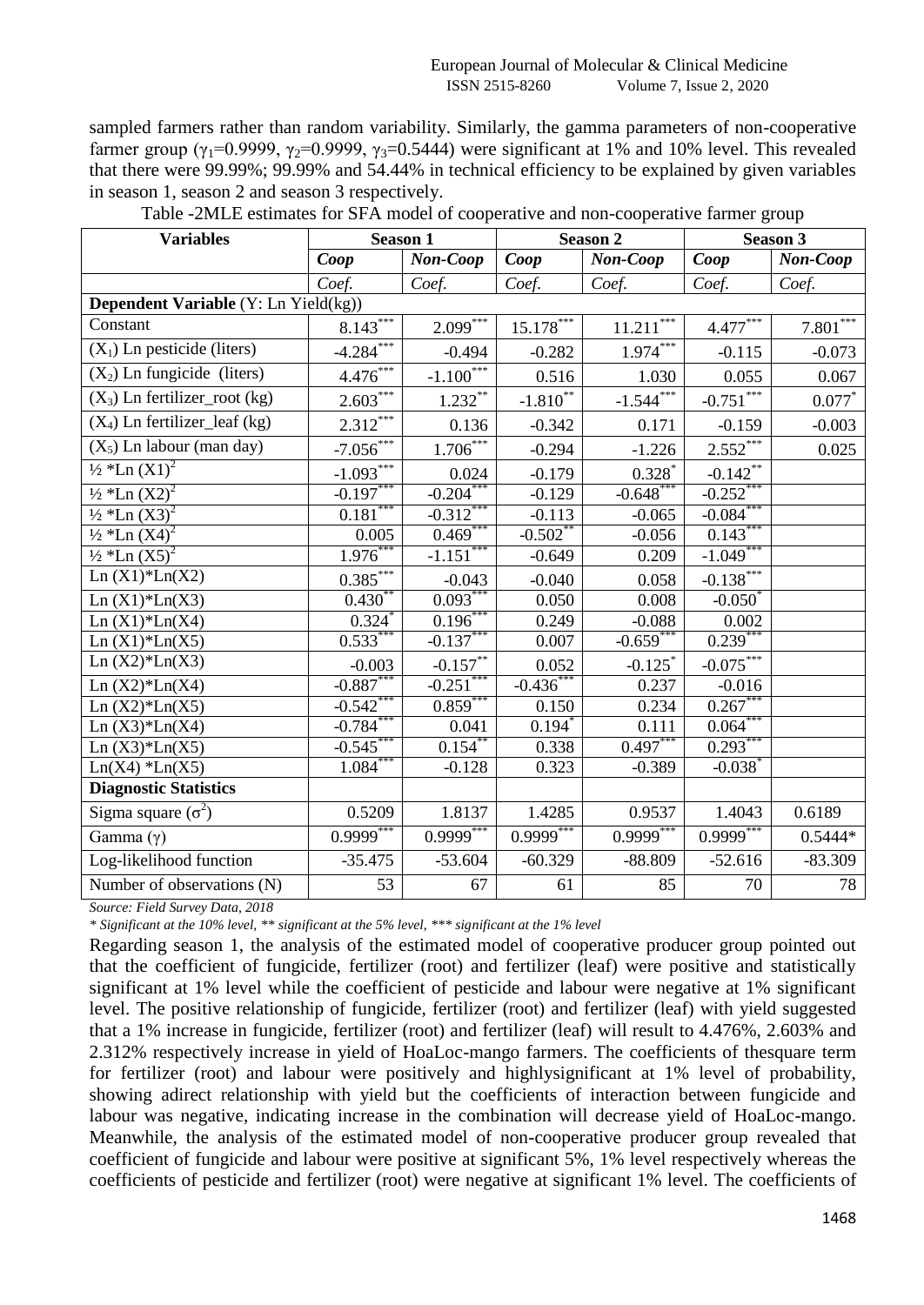sampled farmers rather than random variability. Similarly, the gamma parameters of non-cooperative farmer group ( $\gamma_1$ =0.9999,  $\gamma_2$ =0.9999,  $\gamma_3$ =0.5444) were significant at 1% and 10% level. This revealed that there were 99.99%; 99.99% and 54.44% in technical efficiency to be explained by given variables in season 1, season 2 and season 3 respectively.

| <b>Variables</b>                      | <b>Season 1</b> |                                   | <b>Season 2</b>   |                       | <b>Season 3</b>       |            |
|---------------------------------------|-----------------|-----------------------------------|-------------------|-----------------------|-----------------------|------------|
|                                       | Coop            | Non-Coop                          | $\overline{Coop}$ | Non-Coop              | Coop                  | Non-Coop   |
|                                       | Coef.           | Coef.                             | Coef.             | Coef.                 | Coef.                 | Coef.      |
| Dependent Variable (Y: Ln Yield(kg))  |                 |                                   |                   |                       |                       |            |
| Constant                              | $8.143***$      | $2.099***$                        | $15.178***$       | $11.211***$           | $4.477***$            | $7.801***$ |
| $(X_1)$ Ln pesticide (liters)         | $-4.284***$     | $-0.494$                          | $-0.282$          | $1.974***$            | $-0.115$              | $-0.073$   |
| $(X_2)$ Ln fungicide (liters)         | $4.476***$      | $-1.100$ <sup>***</sup>           | 0.516             | 1.030                 | 0.055                 | 0.067      |
| $(X_3)$ Ln fertilizer_root (kg)       | $2.603***$      | $\frac{1.232}{4.5}$               | $-1.810**$        | $-1.544$              | $-0.751$              | $0.077*$   |
| $(X_4)$ Ln fertilizer_leaf (kg)       | $2.312***$      | 0.136                             | $-0.342$          | 0.171                 | $-0.159$              | $-0.003$   |
| $(X_5)$ Ln labour (man day)           | $-7.056$ ***    | $\frac{1.706^{***}}{4.006^{***}}$ | $-0.294$          | $-1.226$              | 2.552                 | 0.025      |
| $\frac{1}{2}$ *Ln $\overline{(X1)^2}$ | $-1.093***$     | 0.024                             | $-0.179$          | $0.328*$              | $-0.142$ **           |            |
| $\frac{1}{2}$ *Ln $(X2)^2$            | $-0.197***$     | $-0.204***$                       | $-0.129$          | $-0.648$ ***          | $-0.252***$           |            |
| $\frac{1}{2}$ *Ln (X3) <sup>2</sup>   | $0.181***$      | $-0.312***$                       | $-0.113$          | $-0.065$              | $-0.084$ ***          |            |
| $\frac{1}{2}$ *Ln $(\overline{X4})^2$ | 0.005           | $0.469***$                        | $-0.502$ *        | $-0.056$              | $0.143***$            |            |
| $\frac{1}{2}$ *Ln $(X5)^2$            | $1.976$ **      | $-1.151$ <sup>***</sup>           | $-0.649$          | 0.209                 | $-1.049$              |            |
| $Ln(X1)*Ln(X2)$                       | $0.385***$      | $-0.043$                          | $-0.040$          | 0.058                 | $-0.138$              |            |
| $Ln(X1)*Ln(X3)$                       | $0.430**$       | $0.093***$                        | 0.050             | 0.008                 | $-0.050^*$            |            |
| $Ln(X1)*Ln(X4)$                       | 0.324           | 0.196                             | 0.249             | $-0.088$              | 0.002                 |            |
| $Ln(X1)*Ln(X5)$                       | $0.533***$      | $-0.137***$                       | 0.007             | $-0.659$ <sup>*</sup> | $0.239***$            |            |
| $Ln(X2)*Ln(X3)$                       | $-0.003$        | $-0.157$ **                       | 0.052             | $-0.125$ <sup>*</sup> | $-0.075$ ***          |            |
| $Ln(X2)*Ln(X4)$                       | $-0.887***$     | $-0.251$ ***                      | $-0.436$ ***      | 0.237                 | $-0.016$              |            |
| $Ln(X2)*Ln(X5)$                       | $-0.542$ **     | $0.859^{*}$                       | 0.150             | 0.234                 | 0.267                 |            |
| Ln $(X3)*Ln(X4)$                      | $-0.784***$     | 0.041                             | $0.194*$          | 0.111                 | $0.064***$            |            |
| $Ln(X3)*Ln(X5)$                       | $-0.545$ **     | 0.154                             | 0.338             | $0.497***$            | $0.293***$            |            |
| $Ln(X4)$ * $Ln(X5)$                   | $1.084***$      | $-0.128$                          | 0.323             | $-0.389$              | $-0.038$ <sup>*</sup> |            |
| <b>Diagnostic Statistics</b>          |                 |                                   |                   |                       |                       |            |
| Sigma square $(\sigma^2)$             | 0.5209          | 1.8137                            | 1.4285            | 0.9537                | 1.4043                | 0.6189     |
| Gamma $(\gamma)$                      | $0.9999$ ***    | $0.9999$ ***                      | $0.9999$ ***      | $0.9999***$           | $0.9999$ ***          | $0.5444*$  |
| Log-likelihood function               | $-35.475$       | $-53.604$                         | $-60.329$         | $-88.809$             | $-52.616$             | $-83.309$  |
| Number of observations (N)            | 53              | 67                                | 61                | 85                    | 70                    | 78         |

Table -2MLE estimates for SFA model of cooperative and non-cooperative farmer group

*Source: Field Survey Data, 2018*

*\* Significant at the 10% level, \*\* significant at the 5% level, \*\*\* significant at the 1% level*

Regarding season 1, the analysis of the estimated model of cooperative producer group pointed out that the coefficient of fungicide, fertilizer (root) and fertilizer (leaf) were positive and statistically significant at 1% level while the coefficient of pesticide and labour were negative at 1% significant level. The positive relationship of fungicide, fertilizer (root) and fertilizer (leaf) with yield suggested that a 1% increase in fungicide, fertilizer (root) and fertilizer (leaf) will result to 4.476%, 2.603% and 2.312% respectively increase in yield of HoaLoc-mango farmers. The coefficients of thesquare term for fertilizer (root) and labour were positively and highlysignificant at 1% level of probability, showing adirect relationship with yield but the coefficients of interaction between fungicide and labour was negative, indicating increase in the combination will decrease yield of HoaLoc-mango. Meanwhile, the analysis of the estimated model of non-cooperative producer group revealed that coefficient of fungicide and labour were positive at significant 5%, 1% level respectively whereas the coefficients of pesticide and fertilizer (root) were negative at significant 1% level. The coefficients of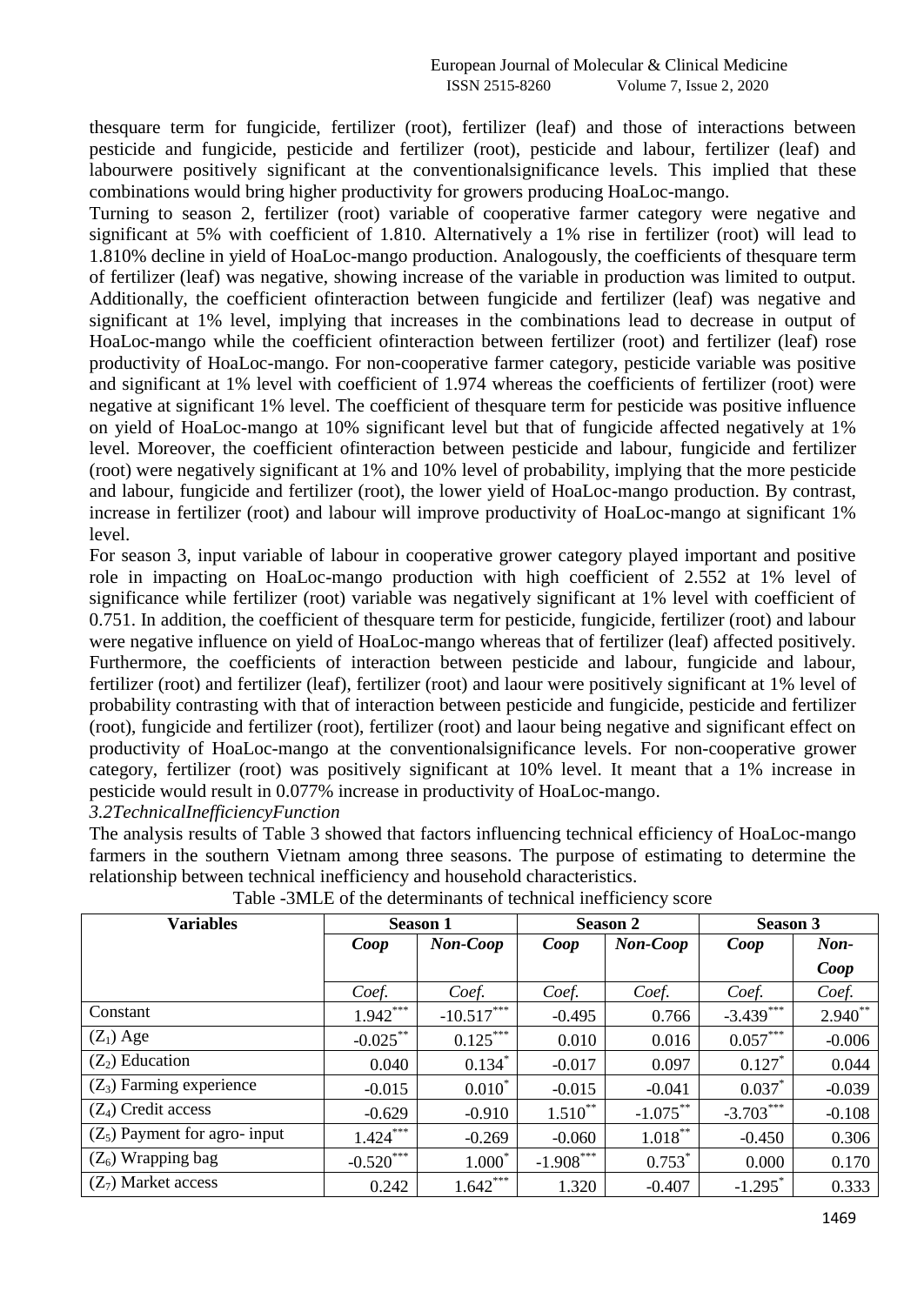thesquare term for fungicide, fertilizer (root), fertilizer (leaf) and those of interactions between pesticide and fungicide, pesticide and fertilizer (root), pesticide and labour, fertilizer (leaf) and labourwere positively significant at the conventionalsignificance levels. This implied that these combinations would bring higher productivity for growers producing HoaLoc-mango.

Turning to season 2, fertilizer (root) variable of cooperative farmer category were negative and significant at 5% with coefficient of 1.810. Alternatively a 1% rise in fertilizer (root) will lead to 1.810% decline in yield of HoaLoc-mango production. Analogously, the coefficients of thesquare term of fertilizer (leaf) was negative, showing increase of the variable in production was limited to output. Additionally, the coefficient ofinteraction between fungicide and fertilizer (leaf) was negative and significant at 1% level, implying that increases in the combinations lead to decrease in output of HoaLoc-mango while the coefficient ofinteraction between fertilizer (root) and fertilizer (leaf) rose productivity of HoaLoc-mango. For non-cooperative farmer category, pesticide variable was positive and significant at 1% level with coefficient of 1.974 whereas the coefficients of fertilizer (root) were negative at significant 1% level. The coefficient of thesquare term for pesticide was positive influence on yield of HoaLoc-mango at 10% significant level but that of fungicide affected negatively at 1% level. Moreover, the coefficient ofinteraction between pesticide and labour, fungicide and fertilizer (root) were negatively significant at 1% and 10% level of probability, implying that the more pesticide and labour, fungicide and fertilizer (root), the lower yield of HoaLoc-mango production. By contrast, increase in fertilizer (root) and labour will improve productivity of HoaLoc-mango at significant 1% level.

For season 3, input variable of labour in cooperative grower category played important and positive role in impacting on HoaLoc-mango production with high coefficient of 2.552 at 1% level of significance while fertilizer (root) variable was negatively significant at 1% level with coefficient of 0.751. In addition, the coefficient of thesquare term for pesticide, fungicide, fertilizer (root) and labour were negative influence on yield of HoaLoc-mango whereas that of fertilizer (leaf) affected positively. Furthermore, the coefficients of interaction between pesticide and labour, fungicide and labour, fertilizer (root) and fertilizer (leaf), fertilizer (root) and laour were positively significant at 1% level of probability contrasting with that of interaction between pesticide and fungicide, pesticide and fertilizer (root), fungicide and fertilizer (root), fertilizer (root) and laour being negative and significant effect on productivity of HoaLoc-mango at the conventionalsignificance levels. For non-cooperative grower category, fertilizer (root) was positively significant at 10% level. It meant that a 1% increase in pesticide would result in 0.077% increase in productivity of HoaLoc-mango. *3.2TechnicalInefficiencyFunction*

The analysis results of Table 3 showed that factors influencing technical efficiency of HoaLoc-mango farmers in the southern Vietnam among three seasons. The purpose of estimating to determine the relationship between technical inefficiency and household characteristics.

| <b>Variables</b>                | <b>Season 1</b> |                 |              | <b>Season 2</b> | <b>Season 3</b>       |                |
|---------------------------------|-----------------|-----------------|--------------|-----------------|-----------------------|----------------|
|                                 | Coop            | <b>Non-Coop</b> | Coop         | Non-Coop        | Coop                  | $\mathbf{Non}$ |
|                                 |                 |                 |              |                 |                       | Coop           |
|                                 | Coef.           | Coef.           | Coef.        | Coef.           | Coef.                 | Coef.          |
| Constant                        | $1.942***$      | $-10.517***$    | $-0.495$     | 0.766           | $-3.439***$           | $2.940**$      |
| $(Z_1)$ Age                     | $-0.025***$     | $0.125***$      | 0.010        | 0.016           | $0.057***$            | $-0.006$       |
| $(Z_2)$ Education               | 0.040           | $0.134*$        | $-0.017$     | 0.097           | $0.127*$              | 0.044          |
| $(Z_3)$ Farming experience      | $-0.015$        | $0.010*$        | $-0.015$     | $-0.041$        | $0.037*$              | $-0.039$       |
| $(Z_4)$ Credit access           | $-0.629$        | $-0.910$        | $1.510^{**}$ | $-1.075***$     | $-3.703***$           | $-0.108$       |
| $(Z_5)$ Payment for agro- input | $1.424***$      | $-0.269$        | $-0.060$     | $1.018***$      | $-0.450$              | 0.306          |
| $(Z_6)$ Wrapping bag            | $-0.520***$     | $1.000*$        | $-1.908***$  | $0.753^*$       | 0.000                 | 0.170          |
| $(Z_7)$ Market access           | 0.242           | $1.642***$      | 1.320        | $-0.407$        | $-1.295$ <sup>*</sup> | 0.333          |

Table -3MLE of the determinants of technical inefficiency score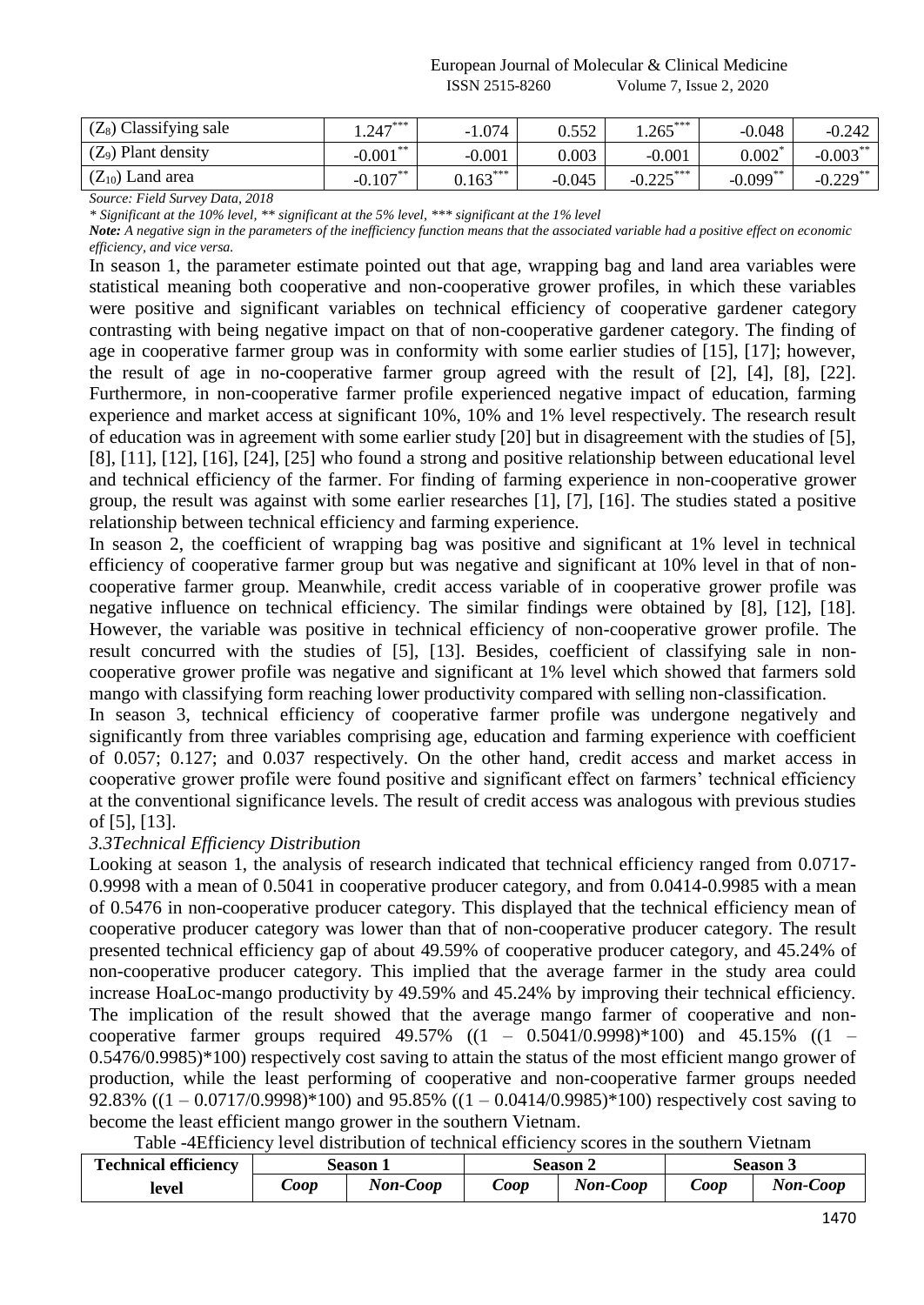| $(Z_8)$ Classifying sale | $1.247***$     | $-1.074$   | 0.552    | $1.265***$  | $-0.048$    | $-0.242$    |
|--------------------------|----------------|------------|----------|-------------|-------------|-------------|
| $(Z_9)$ Plant density    | **<br>$-0.001$ | $-0.001$   | 0.003    | $-0.001$    | 0.002       | $-0.003***$ |
| $(Z_{10})$ Land area     | $-0.107***$    | $0.163***$ | $-0.045$ | $-0.225***$ | $-0.099$ ** | $-0.229$ ** |

*Source: Field Survey Data, 2018*

*\* Significant at the 10% level, \*\* significant at the 5% level, \*\*\* significant at the 1% level*

*Note: A negative sign in the parameters of the inefficiency function means that the associated variable had a positive effect on economic efficiency, and vice versa.*

In season 1, the parameter estimate pointed out that age, wrapping bag and land area variables were statistical meaning both cooperative and non-cooperative grower profiles, in which these variables were positive and significant variables on technical efficiency of cooperative gardener category contrasting with being negative impact on that of non-cooperative gardener category. The finding of age in cooperative farmer group was in conformity with some earlier studies of [15], [17]; however, the result of age in no-cooperative farmer group agreed with the result of [2], [4], [8], [22]. Furthermore, in non-cooperative farmer profile experienced negative impact of education, farming experience and market access at significant 10%, 10% and 1% level respectively. The research result of education was in agreement with some earlier study [20] but in disagreement with the studies of [5], [8], [11], [12], [16], [24], [25] who found a strong and positive relationship between educational level and technical efficiency of the farmer. For finding of farming experience in non-cooperative grower group, the result was against with some earlier researches [1], [7], [16]. The studies stated a positive relationship between technical efficiency and farming experience.

In season 2, the coefficient of wrapping bag was positive and significant at 1% level in technical efficiency of cooperative farmer group but was negative and significant at 10% level in that of noncooperative farmer group. Meanwhile, credit access variable of in cooperative grower profile was negative influence on technical efficiency. The similar findings were obtained by [8], [12], [18]. However, the variable was positive in technical efficiency of non-cooperative grower profile. The result concurred with the studies of [5], [13]. Besides, coefficient of classifying sale in noncooperative grower profile was negative and significant at 1% level which showed that farmers sold mango with classifying form reaching lower productivity compared with selling non-classification.

In season 3, technical efficiency of cooperative farmer profile was undergone negatively and significantly from three variables comprising age, education and farming experience with coefficient of 0.057; 0.127; and 0.037 respectively. On the other hand, credit access and market access in cooperative grower profile were found positive and significant effect on farmers' technical efficiency at the conventional significance levels. The result of credit access was analogous with previous studies of [5], [13].

# *3.3Technical Efficiency Distribution*

Looking at season 1, the analysis of research indicated that technical efficiency ranged from 0.0717- 0.9998 with a mean of 0.5041 in cooperative producer category, and from 0.0414-0.9985 with a mean of 0.5476 in non-cooperative producer category. This displayed that the technical efficiency mean of cooperative producer category was lower than that of non-cooperative producer category. The result presented technical efficiency gap of about 49.59% of cooperative producer category, and 45.24% of non-cooperative producer category. This implied that the average farmer in the study area could increase HoaLoc-mango productivity by 49.59% and 45.24% by improving their technical efficiency. The implication of the result showed that the average mango farmer of cooperative and noncooperative farmer groups required  $49.57\%$  ( $(1 - 0.5041/0.9998)*100$ ) and  $45.15\%$  ( $(1 -$ 0.5476/0.9985)\*100) respectively cost saving to attain the status of the most efficient mango grower of production, while the least performing of cooperative and non-cooperative farmer groups needed 92.83% ((1 – 0.0717/0.9998)\*100) and 95.85% ((1 – 0.0414/0.9985)\*100) respectively cost saving to become the least efficient mango grower in the southern Vietnam.

Table -4Efficiency level distribution of technical efficiency scores in the southern Vietnam

| <b>Technical efficiency</b> |              | Season 1 |              | Season 2 | Season 3     |          |
|-----------------------------|--------------|----------|--------------|----------|--------------|----------|
| level                       | $\omega$ oop | Non-Coop | $\omega$ oop | Non-Coop | $\omega$ oop | Non-Coop |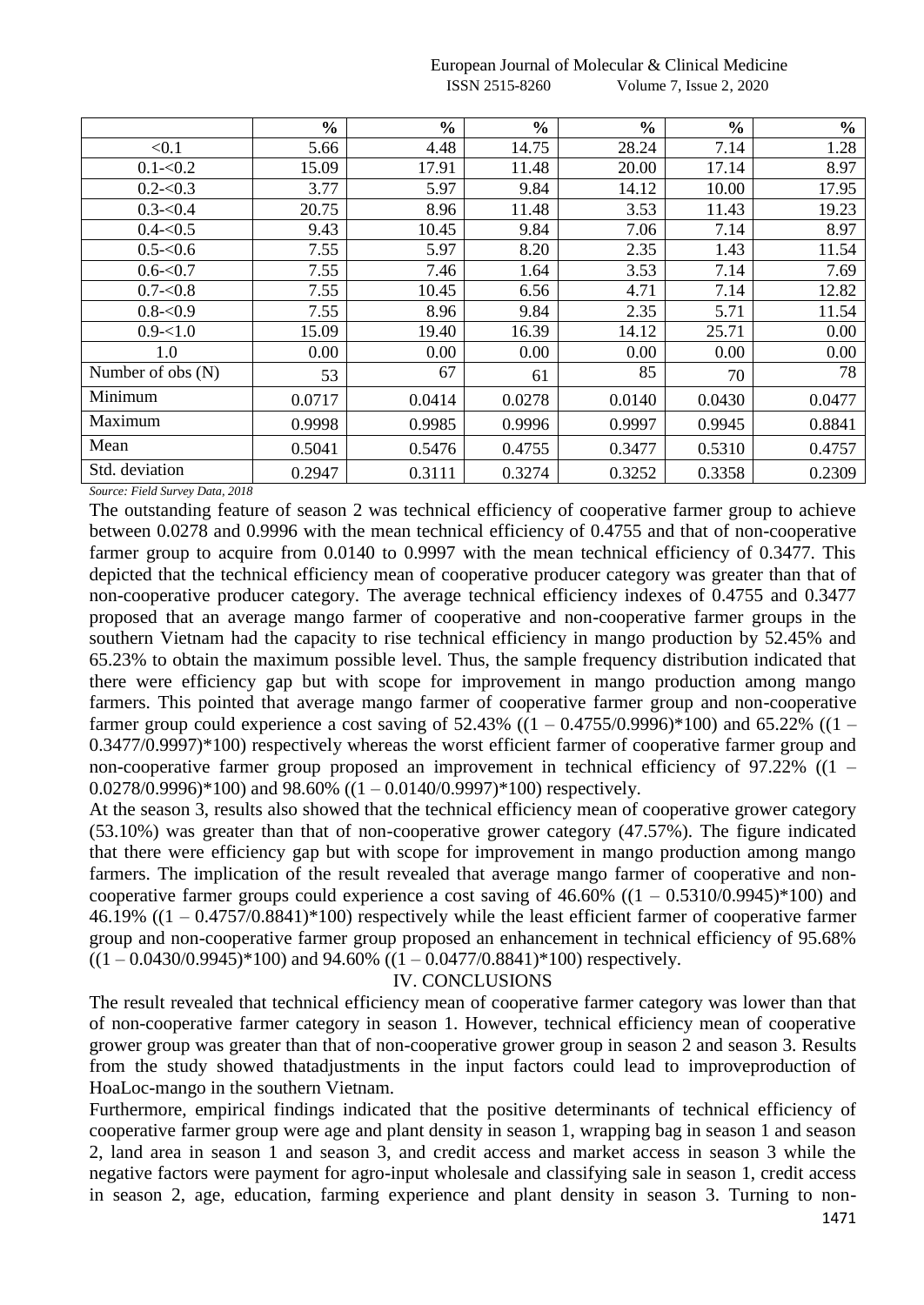|                     | $\frac{0}{0}$ | $\frac{0}{0}$ | $\frac{6}{6}$ | $\frac{0}{0}$ | $\frac{6}{6}$ | $\frac{0}{0}$ |
|---------------------|---------------|---------------|---------------|---------------|---------------|---------------|
| < 0.1               | 5.66          | 4.48          | 14.75         | 28.24         | 7.14          | 1.28          |
| $0.1 - 0.2$         | 15.09         | 17.91         | 11.48         | 20.00         | 17.14         | 8.97          |
| $0.2 - 0.3$         | 3.77          | 5.97          | 9.84          | 14.12         | 10.00         | 17.95         |
| $0.3 - 0.4$         | 20.75         | 8.96          | 11.48         | 3.53          | 11.43         | 19.23         |
| $0.4 - 0.5$         | 9.43          | 10.45         | 9.84          | 7.06          | 7.14          | 8.97          |
| $0.5 - 0.6$         | 7.55          | 5.97          | 8.20          | 2.35          | 1.43          | 11.54         |
| $0.6 - 0.7$         | 7.55          | 7.46          | 1.64          | 3.53          | 7.14          | 7.69          |
| $0.7 - 0.8$         | 7.55          | 10.45         | 6.56          | 4.71          | 7.14          | 12.82         |
| $0.8 - 0.9$         | 7.55          | 8.96          | 9.84          | 2.35          | 5.71          | 11.54         |
| $0.9 - 1.0$         | 15.09         | 19.40         | 16.39         | 14.12         | 25.71         | 0.00          |
| 1.0                 | 0.00          | 0.00          | 0.00          | 0.00          | 0.00          | 0.00          |
| Number of obs $(N)$ | 53            | 67            | 61            | 85            | 70            | 78            |
| Minimum             | 0.0717        | 0.0414        | 0.0278        | 0.0140        | 0.0430        | 0.0477        |
| Maximum             | 0.9998        | 0.9985        | 0.9996        | 0.9997        | 0.9945        | 0.8841        |
| Mean                | 0.5041        | 0.5476        | 0.4755        | 0.3477        | 0.5310        | 0.4757        |
| Std. deviation      | 0.2947        | 0.3111        | 0.3274        | 0.3252        | 0.3358        | 0.2309        |

#### European Journal of Molecular & Clinical Medicine ISSN 2515-8260 Volume 7, Issue 2, 2020

*Source: Field Survey Data, 2018*

The outstanding feature of season 2 was technical efficiency of cooperative farmer group to achieve between 0.0278 and 0.9996 with the mean technical efficiency of 0.4755 and that of non-cooperative farmer group to acquire from 0.0140 to 0.9997 with the mean technical efficiency of 0.3477. This depicted that the technical efficiency mean of cooperative producer category was greater than that of non-cooperative producer category. The average technical efficiency indexes of 0.4755 and 0.3477 proposed that an average mango farmer of cooperative and non-cooperative farmer groups in the southern Vietnam had the capacity to rise technical efficiency in mango production by 52.45% and 65.23% to obtain the maximum possible level. Thus, the sample frequency distribution indicated that there were efficiency gap but with scope for improvement in mango production among mango farmers. This pointed that average mango farmer of cooperative farmer group and non-cooperative farmer group could experience a cost saving of  $52.43\%$  ((1 – 0.4755/0.9996)\*100) and 65.22% ((1 – 0.3477/0.9997)\*100) respectively whereas the worst efficient farmer of cooperative farmer group and non-cooperative farmer group proposed an improvement in technical efficiency of 97.22% ((1 –  $0.0278/0.9996$ <sup>\*</sup>100) and 98.60%  $((1 - 0.0140/0.9997)$ <sup>\*</sup>100) respectively.

At the season 3, results also showed that the technical efficiency mean of cooperative grower category (53.10%) was greater than that of non-cooperative grower category (47.57%). The figure indicated that there were efficiency gap but with scope for improvement in mango production among mango farmers. The implication of the result revealed that average mango farmer of cooperative and noncooperative farmer groups could experience a cost saving of  $46.60\%$  ( $(1 - 0.5310/0.9945)^*100$ ) and 46.19% ((1 – 0.4757/0.8841)\*100) respectively while the least efficient farmer of cooperative farmer group and non-cooperative farmer group proposed an enhancement in technical efficiency of 95.68%  $((1 - 0.0430/0.9945) * 100)$  and 94.60%  $((1 - 0.0477/0.8841) * 100)$  respectively.

## IV. CONCLUSIONS

The result revealed that technical efficiency mean of cooperative farmer category was lower than that of non-cooperative farmer category in season 1. However, technical efficiency mean of cooperative grower group was greater than that of non-cooperative grower group in season 2 and season 3. Results from the study showed thatadjustments in the input factors could lead to improveproduction of HoaLoc-mango in the southern Vietnam.

Furthermore, empirical findings indicated that the positive determinants of technical efficiency of cooperative farmer group were age and plant density in season 1, wrapping bag in season 1 and season 2, land area in season 1 and season 3, and credit access and market access in season 3 while the negative factors were payment for agro-input wholesale and classifying sale in season 1, credit access in season 2, age, education, farming experience and plant density in season 3. Turning to non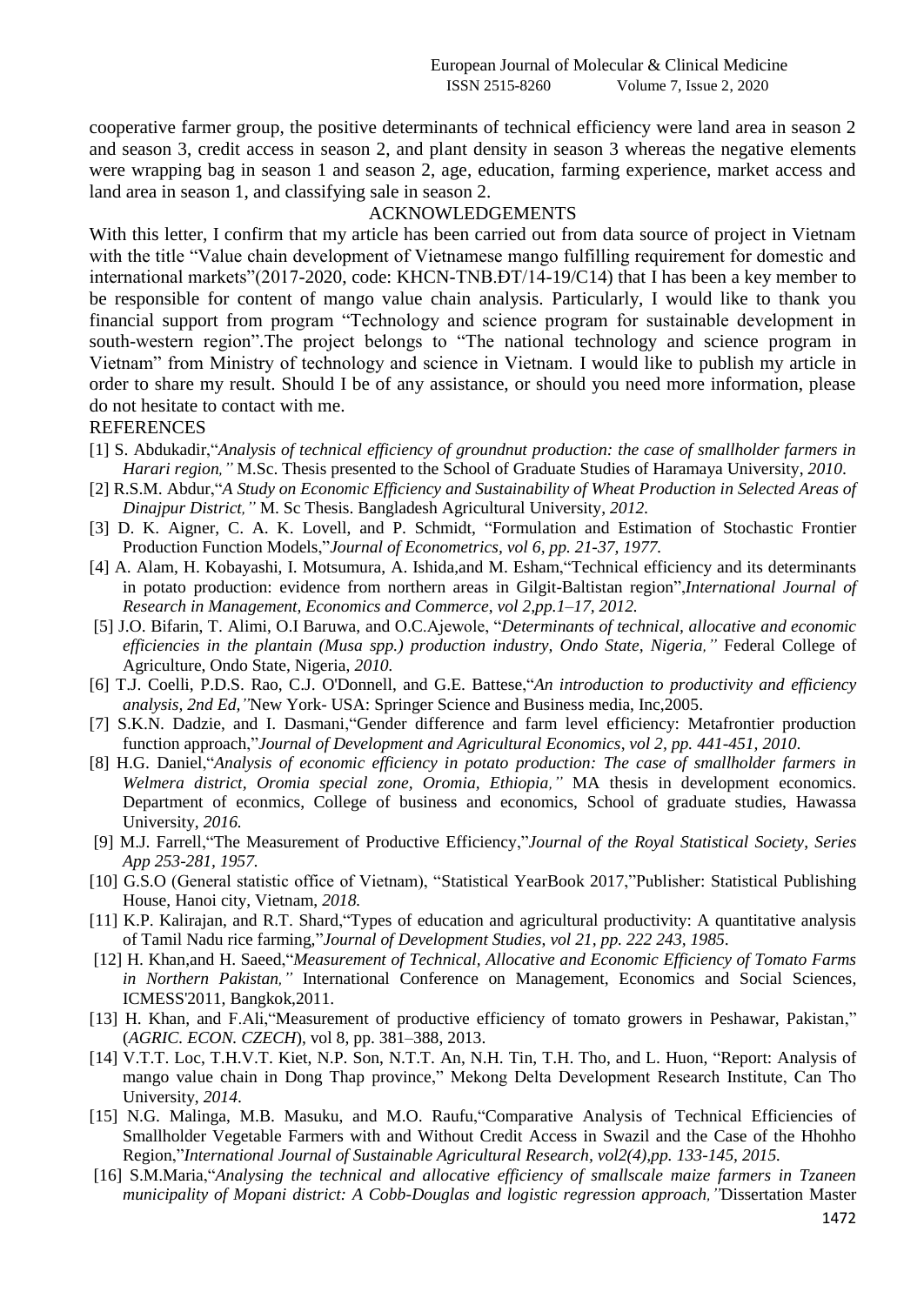cooperative farmer group, the positive determinants of technical efficiency were land area in season 2 and season 3, credit access in season 2, and plant density in season 3 whereas the negative elements were wrapping bag in season 1 and season 2, age, education, farming experience, market access and land area in season 1, and classifying sale in season 2.

# ACKNOWLEDGEMENTS

With this letter, I confirm that my article has been carried out from data source of project in Vietnam with the title "Value chain development of Vietnamese mango fulfilling requirement for domestic and international markets"(2017-2020, code: KHCN-TNB.ĐT/14-19/C14) that I has been a key member to be responsible for content of mango value chain analysis. Particularly, I would like to thank you financial support from program "Technology and science program for sustainable development in south-western region".The project belongs to "The national technology and science program in Vietnam" from Ministry of technology and science in Vietnam. I would like to publish my article in order to share my result. Should I be of any assistance, or should you need more information, please do not hesitate to contact with me.

#### **REFERENCES**

- [1] S. Abdukadir,"*Analysis of technical efficiency of groundnut production: the case of smallholder farmers in Harari region,"* M.Sc. Thesis presented to the School of Graduate Studies of Haramaya University, *2010*.
- [2] R.S.M. Abdur,"*A Study on Economic Efficiency and Sustainability of Wheat Production in Selected Areas of Dinajpur District,"* M. Sc Thesis. Bangladesh Agricultural University, *2012.*
- [3] D. K. Aigner, C. A. K. Lovell, and P. Schmidt, "Formulation and Estimation of Stochastic Frontier Production Function Models,"*Journal of Econometrics, vol 6, pp. 21-37, 1977.*
- [4] A. Alam, H. Kobayashi, I. Motsumura, A. Ishida,and M. Esham,"Technical efficiency and its determinants in potato production: evidence from northern areas in Gilgit-Baltistan region",*International Journal of Research in Management, Economics and Commerce*, *vol 2,pp.1–17, 2012.*
- [5] J.O. Bifarin, T. Alimi, O.I Baruwa, and O.C.Ajewole, "*Determinants of technical, allocative and economic efficiencies in the plantain (Musa spp.) production industry, Ondo State, Nigeria,"* Federal College of Agriculture, Ondo State, Nigeria, *2010.*
- [6] T.J. Coelli, P.D.S. Rao, C.J. O'Donnell, and G.E. Battese,"*An introduction to productivity and efficiency analysis, 2nd Ed,"*New York- USA: Springer Science and Business media, Inc,2005.
- [7] S.K.N. Dadzie, and I. Dasmani,"Gender difference and farm level efficiency: Metafrontier production function approach,"*Journal of Development and Agricultural Economics*, *vol 2, pp. 441-451, 2010*.
- [8] H.G. Daniel,"*Analysis of economic efficiency in potato production: The case of smallholder farmers in Welmera district, Oromia special zone, Oromia, Ethiopia,"* MA thesis in development economics. Department of econmics, College of business and economics, School of graduate studies, Hawassa University, *2016.*
- [9] M.J. Farrell,"The Measurement of Productive Efficiency,"*Journal of the Royal Statistical Society*, *Series App 253-281, 1957.*
- [10] G.S.O (General statistic office of Vietnam), "Statistical YearBook 2017,"Publisher: Statistical Publishing House, Hanoi city, Vietnam, *2018.*
- [11] K.P. Kalirajan, and R.T. Shard,"Types of education and agricultural productivity: A quantitative analysis of Tamil Nadu rice farming,"*Journal of Development Studies*, *vol 21, pp. 222 243, 1985*.
- [12] H. Khan,and H. Saeed,"*Measurement of Technical, Allocative and Economic Efficiency of Tomato Farms in Northern Pakistan,"* International Conference on Management, Economics and Social Sciences, ICMESS'2011, Bangkok,2011.
- [13] H. Khan, and F.Ali,"Measurement of productive efficiency of tomato growers in Peshawar, Pakistan," (*AGRIC. ECON. CZECH*), vol 8, pp. 381–388, 2013.
- [14] V.T.T. Loc, T.H.V.T. Kiet, N.P. Son, N.T.T. An, N.H. Tin, T.H. Tho, and L. Huon, "Report: Analysis of mango value chain in Dong Thap province," Mekong Delta Development Research Institute, Can Tho University, *2014*.
- [15] N.G. Malinga, M.B. Masuku, and M.O. Raufu,"Comparative Analysis of Technical Efficiencies of Smallholder Vegetable Farmers with and Without Credit Access in Swazil and the Case of the Hhohho Region,"*International Journal of Sustainable Agricultural Research, vol2(4),pp. 133-145, 2015.*
- [16] S.M.Maria,"*Analysing the technical and allocative efficiency of smallscale maize farmers in Tzaneen municipality of Mopani district: A Cobb-Douglas and logistic regression approach,"*Dissertation Master